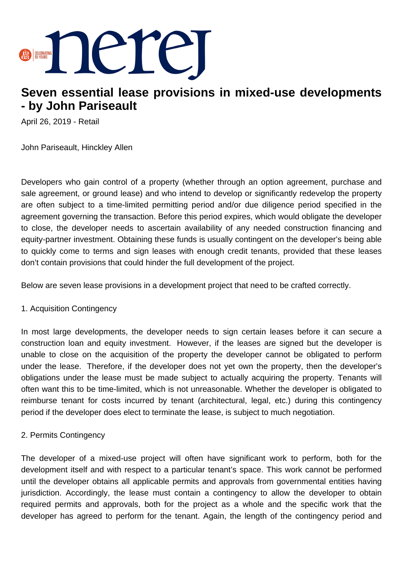

# **Seven essential lease provisions in mixed-use developments - by John Pariseault**

April 26, 2019 - Retail

John Pariseault, Hinckley Allen

Developers who gain control of a property (whether through an option agreement, purchase and sale agreement, or ground lease) and who intend to develop or significantly redevelop the property are often subject to a time-limited permitting period and/or due diligence period specified in the agreement governing the transaction. Before this period expires, which would obligate the developer to close, the developer needs to ascertain availability of any needed construction financing and equity-partner investment. Obtaining these funds is usually contingent on the developer's being able to quickly come to terms and sign leases with enough credit tenants, provided that these leases don't contain provisions that could hinder the full development of the project.

Below are seven lease provisions in a development project that need to be crafted correctly.

#### 1. Acquisition Contingency

In most large developments, the developer needs to sign certain leases before it can secure a construction loan and equity investment. However, if the leases are signed but the developer is unable to close on the acquisition of the property the developer cannot be obligated to perform under the lease. Therefore, if the developer does not yet own the property, then the developer's obligations under the lease must be made subject to actually acquiring the property. Tenants will often want this to be time-limited, which is not unreasonable. Whether the developer is obligated to reimburse tenant for costs incurred by tenant (architectural, legal, etc.) during this contingency period if the developer does elect to terminate the lease, is subject to much negotiation.

# 2. Permits Contingency

The developer of a mixed-use project will often have significant work to perform, both for the development itself and with respect to a particular tenant's space. This work cannot be performed until the developer obtains all applicable permits and approvals from governmental entities having jurisdiction. Accordingly, the lease must contain a contingency to allow the developer to obtain required permits and approvals, both for the project as a whole and the specific work that the developer has agreed to perform for the tenant. Again, the length of the contingency period and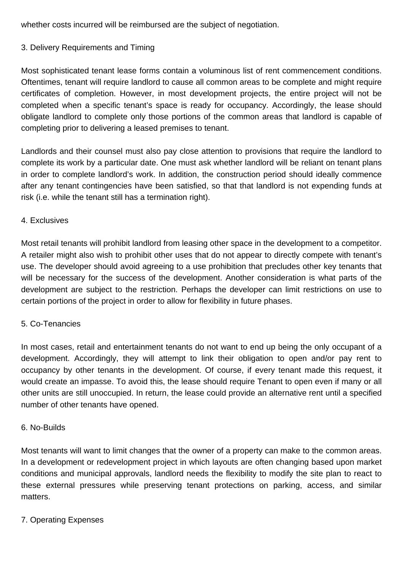whether costs incurred will be reimbursed are the subject of negotiation.

# 3. Delivery Requirements and Timing

Most sophisticated tenant lease forms contain a voluminous list of rent commencement conditions. Oftentimes, tenant will require landlord to cause all common areas to be complete and might require certificates of completion. However, in most development projects, the entire project will not be completed when a specific tenant's space is ready for occupancy. Accordingly, the lease should obligate landlord to complete only those portions of the common areas that landlord is capable of completing prior to delivering a leased premises to tenant.

Landlords and their counsel must also pay close attention to provisions that require the landlord to complete its work by a particular date. One must ask whether landlord will be reliant on tenant plans in order to complete landlord's work. In addition, the construction period should ideally commence after any tenant contingencies have been satisfied, so that that landlord is not expending funds at risk (i.e. while the tenant still has a termination right).

#### 4. Exclusives

Most retail tenants will prohibit landlord from leasing other space in the development to a competitor. A retailer might also wish to prohibit other uses that do not appear to directly compete with tenant's use. The developer should avoid agreeing to a use prohibition that precludes other key tenants that will be necessary for the success of the development. Another consideration is what parts of the development are subject to the restriction. Perhaps the developer can limit restrictions on use to certain portions of the project in order to allow for flexibility in future phases.

# 5. Co-Tenancies

In most cases, retail and entertainment tenants do not want to end up being the only occupant of a development. Accordingly, they will attempt to link their obligation to open and/or pay rent to occupancy by other tenants in the development. Of course, if every tenant made this request, it would create an impasse. To avoid this, the lease should require Tenant to open even if many or all other units are still unoccupied. In return, the lease could provide an alternative rent until a specified number of other tenants have opened.

# 6. No-Builds

Most tenants will want to limit changes that the owner of a property can make to the common areas. In a development or redevelopment project in which layouts are often changing based upon market conditions and municipal approvals, landlord needs the flexibility to modify the site plan to react to these external pressures while preserving tenant protections on parking, access, and similar matters.

# 7. Operating Expenses